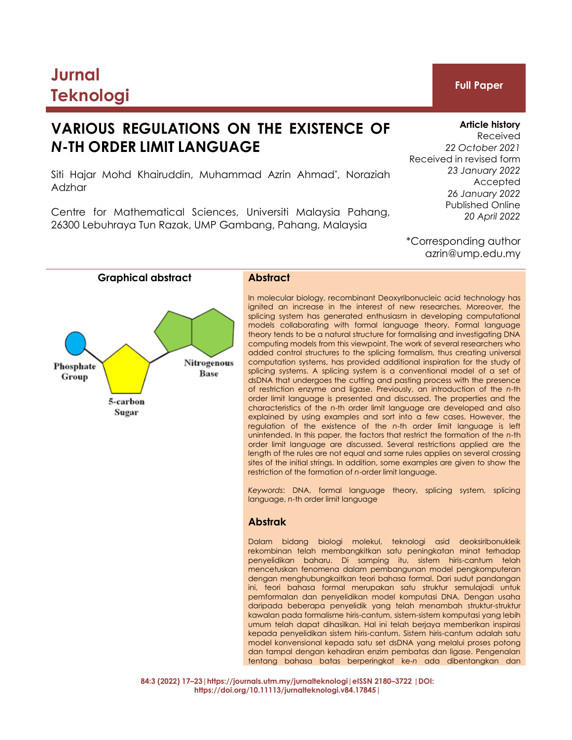# **Jurnal Teknologi Full Paper**

# **VARIOUS REGULATIONS ON THE EXISTENCE OF** *N***-TH ORDER LIMIT LANGUAGE**

Siti Hajar Mohd Khairuddin, Muhammad Azrin Ahmad\* , Noraziah Adzhar

Centre for Mathematical Sciences, Universiti Malaysia Pahang, 26300 Lebuhraya Tun Razak, UMP Gambang, Pahang, Malaysia

# **Article history**

Received *22 October 2021* Received in revised form *23 January 2022* Accepted *26 January 2022* Published Online *20 April 2022*

\*Corresponding author azrin@ump.edu.my



In molecular biology, recombinant Deoxyribonucleic acid technology has ignited an increase in the interest of new researches. Moreover, the splicing system has generated enthusiasm in developing computational models collaborating with formal language theory. Formal language theory tends to be a natural structure for formalising and investigating DNA computing models from this viewpoint. The work of several researchers who added control structures to the splicing formalism, thus creating universal computation systems, has provided additional inspiration for the study of splicing systems. A splicing system is a conventional model of a set of dsDNA that undergoes the cutting and pasting process with the presence of restriction enzyme and ligase. Previously, an introduction of the *n*-th order limit language is presented and discussed. The properties and the characteristics of the *n*-th order limit language are developed and also explained by using examples and sort into a few cases. However, the regulation of the existence of the *n*-th order limit language is left unintended. In this paper, the factors that restrict the formation of the *n*-th order limit language are discussed. Several restrictions applied are the length of the rules are not equal and same rules applies on several crossing sites of the initial strings. In addition, some examples are given to show the restriction of the formation of *n*-order limit language.

*Keywords*: DNA, formal language theory, splicing system, splicing language, *n-*th order limit language

# **Abstrak**

Dalam bidang biologi molekul, teknologi asid deoksiribonukleik rekombinan telah membangkitkan satu peningkatan minat terhadap penyelidikan baharu. Di samping itu, sistem hiris-cantum telah mencetuskan fenomena dalam pembangunan model pengkomputeran dengan menghubungkaitkan teori bahasa formal. Dari sudut pandangan ini, teori bahasa formal merupakan satu struktur semulajadi untuk pemformalan dan penyelidikan model komputasi DNA. Dengan usaha daripada beberapa penyelidik yang telah menambah struktur-struktur kawalan pada formalisme hiris-cantum, sistem-sistem komputasi yang lebih umum telah dapat dihasilkan. Hal ini telah berjaya memberikan inspirasi kepada penyelidikan sistem hiris-cantum. Sistem hiris-cantum adalah satu model konvensional kepada satu set dsDNA yang melalui proses potong dan tampal dengan kehadiran enzim pembatas dan ligase. Pengenalan tentang bahasa batas berperingkat ke-*n* ada dibentangkan dan

**84:3 (2022) 17–23|https://journals.utm.my/jurnalteknologi|eISSN 2180–3722 |DOI: https://doi.org/10.11113/jurnalteknologi.v84.17845|**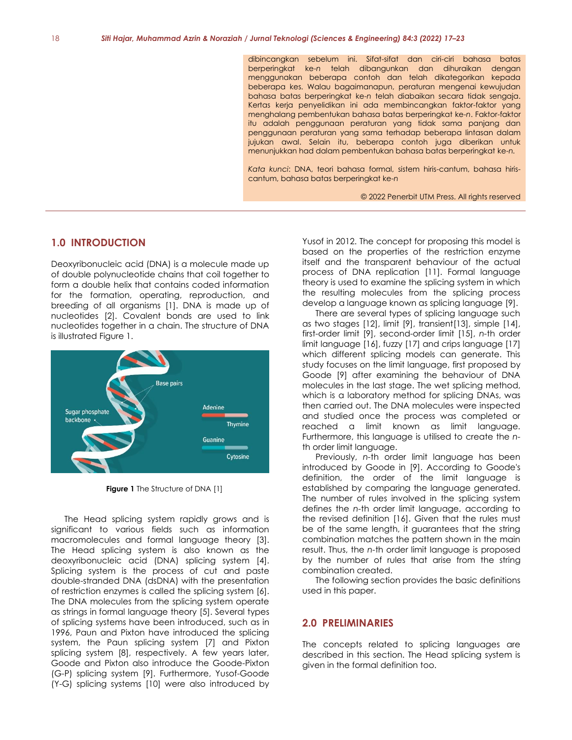dibincangkan sebelum ini. Sifat-sifat dan ciri-ciri bahasa batas berperingkat ke-*n* telah dibangunkan dan dihuraikan dengan menggunakan beberapa contoh dan telah dikategorikan kepada beberapa kes. Walau bagaimanapun, peraturan mengenai kewujudan bahasa batas berperingkat ke-*n* telah diabaikan secara tidak sengaja. Kertas kerja penyelidikan ini ada membincangkan faktor-faktor yang menghalang pembentukan bahasa batas berperingkat ke-*n*. Faktor-faktor itu adalah penggunaan peraturan yang tidak sama panjang dan penggunaan peraturan yang sama terhadap beberapa lintasan dalam jujukan awal. Selain itu, beberapa contoh juga diberikan untuk menunjukkan had dalam pembentukan bahasa batas berperingkat ke-*n.*

*Kata kunci*: DNA, teori bahasa formal, sistem hiris-cantum, bahasa hiriscantum, bahasa batas berperingkat ke-*n*

© 2022 Penerbit UTM Press. All rights reserved

# **1.0 INTRODUCTION**

Deoxyribonucleic acid (DNA) is a molecule made up of double polynucleotide chains that coil together to form a double helix that contains coded information for the formation, operating, reproduction, and breeding of all organisms [1]. DNA is made up of nucleotides [2]. Covalent bonds are used to link nucleotides together in a chain. The structure of DNA is illustrated Figure 1.



**Figure 1** The Structure of DNA [1]

The Head splicing system rapidly grows and is significant to various fields such as information macromolecules and formal language theory [3]. The Head splicing system is also known as the deoxyribonucleic acid (DNA) splicing system [4]. Splicing system is the process of cut and paste double-stranded DNA (dsDNA) with the presentation of restriction enzymes is called the splicing system [6]. The DNA molecules from the splicing system operate as strings in formal language theory [5]. Several types of splicing systems have been introduced, such as in 1996, Paun and Pixton have introduced the splicing system, the Paun splicing system [7] and Pixton splicing system [8], respectively. A few years later, Goode and Pixton also introduce the Goode-Pixton (G-P) splicing system [9]. Furthermore, Yusof-Goode (Y-G) splicing systems [10] were also introduced by

Yusof in 2012. The concept for proposing this model is based on the properties of the restriction enzyme itself and the transparent behaviour of the actual process of DNA replication [11]. Formal language theory is used to examine the splicing system in which the resulting molecules from the splicing process develop a language known as splicing language [9].

There are several types of splicing language such as two stages [12], limit [9], transient[13], simple [14], first-order limit [9], second-order limit [15], *n-*th order limit language [16], fuzzy [17] and crips language [17] which different splicing models can generate. This study focuses on the limit language, first proposed by Goode [9] after examining the behaviour of DNA molecules in the last stage. The wet splicing method, which is a laboratory method for splicing DNAs, was then carried out. The DNA molecules were inspected and studied once the process was completed or reached a limit known as limit language. Furthermore, this language is utilised to create the *n*th order limit language.

Previously, *n-*th order limit language has been introduced by Goode in [9]. According to Goode's definition, the order of the limit language is established by comparing the language generated. The number of rules involved in the splicing system defines the *n-*th order limit language, according to the revised definition [16]. Given that the rules must be of the same length, it guarantees that the string combination matches the pattern shown in the main result. Thus, the *n-*th order limit language is proposed by the number of rules that arise from the string combination created.

The following section provides the basic definitions used in this paper.

# **2.0 PRELIMINARIES**

The concepts related to splicing languages are described in this section. The Head splicing system is given in the formal definition too.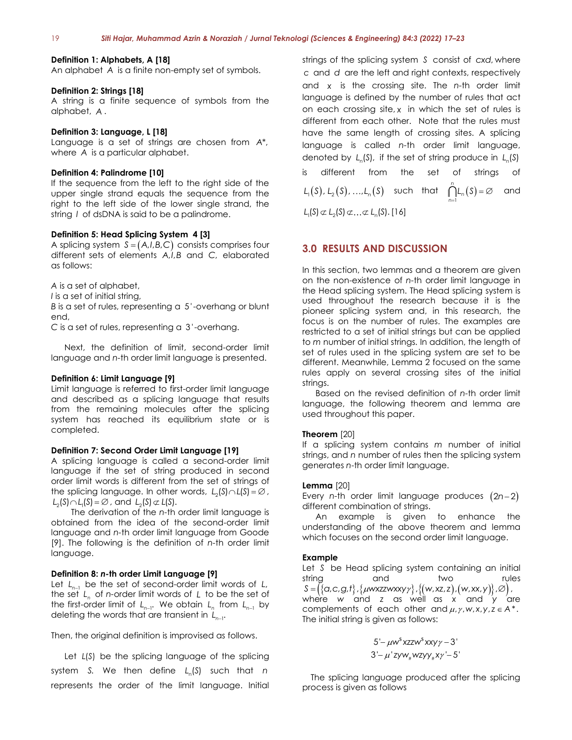#### **Definition 1: Alphabets, A [18]**

An alphabet *A* is a finite non-empty set of symbols.

#### **Definition 2: Strings [18]**

A string is a finite sequence of symbols from the alphabet, *A* .

#### **Definition 3: Language, L [18]**

Language is a set of strings are chosen from *A*\*, where *A* is a particular alphabet.

#### **Definition 4: Palindrome [10]**

If the sequence from the left to the right side of the upper single strand equals the sequence from the right to the left side of the lower single strand, the string I of dsDNA is said to be a palindrome.

#### **Definition 5: Head Splicing System 4 [3]**

A splicing system  $S = (A,I,B,C)$  consists comprises four different sets of elements  $A/I,B$  and C, elaborated as follows:

*A* is a set of alphabet,

*I* is a set of initial string,

*B* is a set of rules, representing a 5'-overhang or blunt end,

*C* is a set of rules, representing a 3'-overhang.

Next, the definition of limit, second-order limit language and *n-*th order limit language is presented.

#### **Definition 6: Limit Language [9]**

Limit language is referred to first-order limit language and described as a splicing language that results from the remaining molecules after the splicing system has reached its equilibrium state or is completed.

#### **Definition 7: Second Order Limit Language [19]**

A splicing language is called a second-order limit language if the set of string produced in second order limit words is different from the set of strings of the splicing language. In other words,  $L_2(S) \cap L(S) = \emptyset$ ,  $L_2(S) \cap L_1(S) = \emptyset$ , and  $L_2(S) \not\subset L(S)$ .

The derivation of the *n-*th order limit language is obtained from the idea of the second-order limit language and *n-*th order limit language from Goode [9]. The following is the definition of *n-*th order limit language.

#### **Definition 8:** *n-***th order Limit Language [9]**

Let L<sub>n−1</sub> be the set of second-order limit words of L, the set L<sub>n</sub> of *n*-order limit words of L to be the set of the first-order limit of  $L_{n-1}$ . We obtain  $L_n$  from  $L_{n-1}$  by deleting the words that are transient in L<sub>n-1</sub>.

Then, the original definition is improvised as follows.

Let *L(S)* be the splicing language of the splicing system S. We then define  $L_n(S)$  such that *n* represents the order of the limit language. Initial

strings of the splicing system *S* consist of *cxd*, where *c* and *d* are the left and right contexts, respectively and *x* is the crossing site. The *n-*th order limit language is defined by the number of rules that act on each crossing site, *x* in which the set of rules is different from each other. Note that the rules must have the same length of crossing sites. A splicing language is called *n-*th order limit language, denoted by  $L_n(S)$ , if the set of string produce in  $L_n(S)$ is different from the set of strings of  $L_1(S)$ ,  $L_2(S)$ , ..., $L_n(S)$  such that  $L_n(S) = \varnothing$ 1 *n n* and  $L_1(S) \not\subset L_2(S) \not\subset \ldots \not\subset L_n(S)$ . [16]

# **3.0 RESULTS AND DISCUSSION**

In this section, two lemmas and a theorem are given on the non-existence of *n-*th order limit language in the Head splicing system. The Head splicing system is used throughout the research because it is the pioneer splicing system and, in this research, the focus is on the number of rules. The examples are restricted to a set of initial strings but can be applied to *m* number of initial strings. In addition, the length of set of rules used in the splicing system are set to be different. Meanwhile, Lemma 2 focused on the same rules apply on several crossing sites of the initial strings.

Based on the revised definition of *n-*th order limit language, the following theorem and lemma are used throughout this paper.

#### **Theorem** [20]

If a splicing system contains *m* number of initial strings, and *n* number of rules then the splicing system generates *n*-th order limit language.

#### **Lemma** [20]

Every *n*-th order limit language produces (2n−2) different combination of strings.

An example is given to enhance the understanding of the above theorem and lemma which focuses on the second order limit language.

### **Example**

Let *S* be Head splicing system containing an initial string and two rules  $S = (\{\alpha, c, g, t\}, \{\mu$ wxzzwxxy $\gamma\}, \{(\mathsf{w}, \mathsf{x}z, z), (\mathsf{w}, \mathsf{x}x, y)\}, \varnothing)$ , where w and z as well as x and y are complements of each other and  $\mu$ ,  $\gamma$ ,  $w$ ,  $x$ ,  $y$ ,  $z \in A^*$ . The initial string is given as follows:

$$
5' - \mu w^s xzzw^s xxy\gamma - 3'
$$
  

$$
3' - \mu' zyw_*wzyy_*xy' - 5'
$$

The splicing language produced after the splicing process is given as follows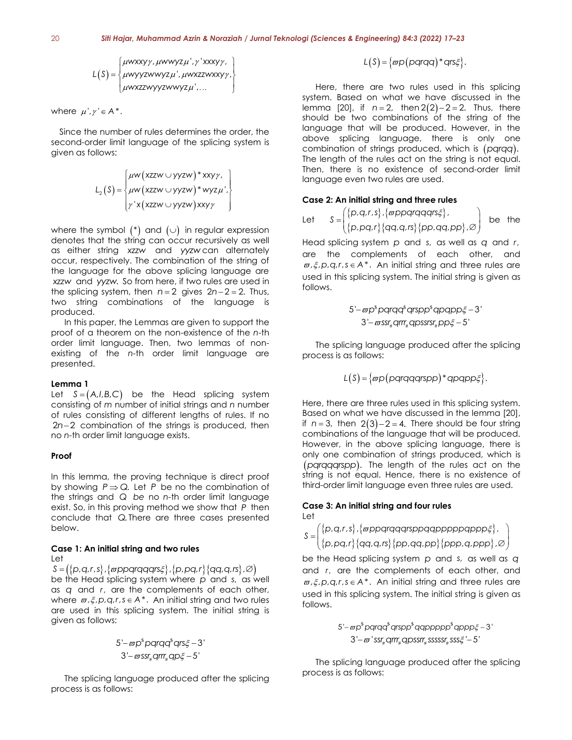#### 20 *Siti Hajar, Muhammad Azrin & Noraziah / Jurnal Teknologi (Sciences & Engineering) 84:3 (2022) 17–23*

$$
L(S) = \begin{cases} \mu w x x y \gamma, \mu w w y z \mu', \gamma' x x x y \gamma, \\ \mu w y y z w w y z \mu', \mu w x z z w x x y \gamma, \\ \mu w x z z w y y z w w y z \mu', \dots \end{cases}
$$

where  $\mu', \gamma' \in A^*$ .

Since the number of rules determines the order, the second-order limit language of the splicing system is given as follows:

$$
L_2(S) = \begin{cases} \mu w (xzzw \cup yyzw) * xxy\gamma, \\ \mu w (xzzw \cup yyzw) * wyz\mu', \\ \gamma * (xzzw \cup yyzw) xxy\gamma \end{cases}
$$

where the symbol  $(\hbox{}^\ast)$  and  $(\cup)$  in regular expression. denotes that the string can occur recursively as well as either string *xzzw* and *yyzw* can alternately occur, respectively. The combination of the string of the language for the above splicing language are *xzzw* and *yyzw*. So from here, if two rules are used in the splicing system, then  $n = 2$  gives  $2n - 2 = 2$ . Thus, two string combinations of the language is produced. (1) =  $\begin{vmatrix} \cos \theta & -\cos \theta & \sin \theta \end{vmatrix}$  (1) =  $\begin{vmatrix} \cos \theta & -\cos \theta & \sin \theta \end{vmatrix}$ <br>
with the state of the state of the state of the state of the state of the state of the state of the state of the state of the state of the state of

In this paper, the Lemmas are given to support the proof of a theorem on the non-existence of the *n*-th order limit language. Then, two lemmas of nonexisting of the *n-*th order limit language are presented.

#### **Lemma 1**

Let  $S = (A,I,B,C)$  be the Head splicing system consisting of *m* number of initial strings and *n* number of rules consisting of different lengths of rules. If no 2n−2 combination of the strings is produced, then no *n-*th order limit language exists.

#### **Proof**

In this lemma, the proving technique is direct proof by showing  $P \Rightarrow Q$ . Let P be no the combination of the strings and *Q be* no *n-*th order limit language exist. So, in this proving method we show that P then conclude that *Q*. There are three cases presented below.

# **Case 1: An initial string and two rules**

Let

 $S = (\{p, q, r, s\}, \{\varpi p \} \cap \{q \neq s\}, \{p, pq, r\}, \{qq, q, rs\}, \varnothing).$ be the Head splicing system where p and s, as well as *q* and *r*, are the complements of each other, where  $\varpi$ , $\xi$ , $p$ , $q$ , $r$ , $s \in A^*$ . An initial string and two rules are used in this splicing system. The initial string is given as follows:

$$
5' - \varpi p^s pqrqq^s qrs\xi - 3'
$$
  

$$
3' - \varpi ssr_{\#} qrr_{\#} qp\xi - 5'
$$

The splicing language produced after the splicing

Here, there are two rules used in this splicing system. Based on what we have discussed in the lemma  $[20]$ , if  $n = 2$ , then  $2(2)-2=2$ . Thus, there should be two combinations of the string of the language that will be produced. However, in the above splicing language, there is only one combination of strings produced, which is (*pqrqq*). The length of the rules act on the string is not equal. Then, there is no existence of second-order limit language even two rules are used.

#### **Case 2: An initial string and three rules**

Let  $\left\{ \mathsf{p},\mathsf{q},\mathsf{r},\mathsf{s}\right\}$  ,  $\left\{ \mathsf{\small \pi} \mathsf{\small \pi} \mathsf{\small \pi} \mathsf{\small \pi} \mathsf{\small \pi} \mathsf{\small \pi} \mathsf{\small \pi} \mathsf{\small \pi} \mathsf{\small \pi} \right\}$  .  $\left\{ \mathsf{p},\mathsf{p}\mathsf{q},\mathsf{r}\right\} \left\{ \mathsf{q}\mathsf{q},\mathsf{q},\mathsf{rs}\right\} \left\{ \mathsf{p}\mathsf{p},\mathsf{q}\mathsf{q},\mathsf{p}\mathsf{p}\right\} .$  $=\hspace*{-1em}\begin{pmatrix} \{p,q,r,s\},\{appqrqqqrs\xi\},\\ \{p,pq,r\}\{qq,q,rs\}\{pp,qqq,pp\},\varnothing \end{pmatrix}$ , , , , , , ,  $\mathcal{S} = \left\{ \left\{ \mathcal{P},\mathcal{G},\mathcal{I},\mathcal{S}\right\} ,\right\}$  *a* ppqrqqqrs *p pq r qq q rs pp qq pp* be the

Head splicing system *p* and *s*, as well as *q* and *r*, are the complements of each other, and  $\varpi$ ,  $\xi$ ,  $p$ ,  $q$ ,  $r$ ,  $s \in A^*$ . An initial string and three rules are used in this splicing system. The initial string is given as follows.

 − − # # # 3' 5' *ssr qrrr qpssrsr pp* − − \$ \$ \$ 5' 3' *p pqrqq qrspp qpqpp*

The splicing language produced after the splicing process is as follows:

$$
L(S) = \{\varpi p \big(\text{pargargp} \big) \cdot \text{qp} \text{qp} \big\}.
$$

Here, there are three rules used in this splicing system. Based on what we have discussed in the lemma [20], if  $n = 3$ , then  $2(3)-2=4$ . There should be four string combinations of the language that will be produced. However, in the above splicing language, there is only one combination of strings produced, which is (*pqrqqqrspp*). The length of the rules act on the string is not equal. Hence, there is no existence of third-order limit language even three rules are used.

#### **Case 3: An initial string and four rules** Let

$$
\mathcal{S} = \begin{pmatrix} \{p,q,r,s\}, \{ \text{æppqrqqqrsppqqpppppqppqppg}\}, \\ \{p,pq,r\} \{qq,q,rs\} \{pp,qqp\} \{ppp,q,ppp\}, \varnothing \end{pmatrix}
$$

be the Head splicing system *p* and *s*, as well as *q* and *r*, are the complements of each other, and  $\varpi$ ,  $\xi$ ,  $p$ ,  $q$ ,  $r$ ,  $s \in A^*$ . An initial string and three rules are used in this splicing system. The initial string is given as follows.

> − − \$ \$ \$ \$ 5' 3' *p pqrqq qrspp qqppppp qppp* æp" paraa" arspp" aappppp" appp*&−.*<br>3 '− æ ' ssr<sub>#</sub> qrrr<sub>#</sub> apssrr<sub>#</sub> sssssr<sub>#</sub> sss&' − 5 '

The splicing language produced after the splicing process is as follows: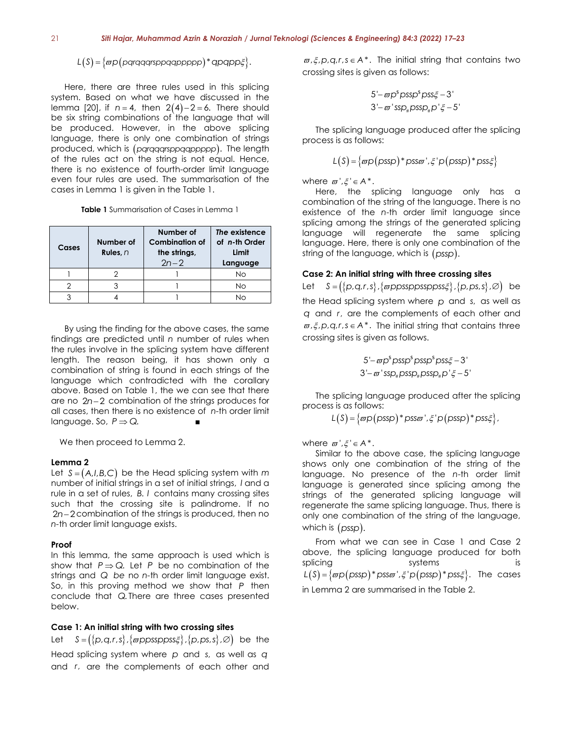# $L(S) = \{ \varpi p(\text{pqrqqqrsppqqppppp})^* \text{qpqppp}\}.$

Here, there are three rules used in this splicing system. Based on what we have discussed in the lemma [20], if  $n = 4$ , then  $2(4)-2=6$ . There should be six string combinations of the language that will be produced. However, in the above splicing language, there is only one combination of strings produced, which is (*pqrqqqrsppqqppppp*). The length of the rules act on the string is not equal. Hence, there is no existence of fourth-order limit language even four rules are used. The summarisation of the cases in Lemma 1 is given in the Table 1.

| <b>Table 1</b> Summarisation of Cases in Lemma 1 |
|--------------------------------------------------|
|--------------------------------------------------|

| Cases | Number of<br>Rules, $n$ | Number of<br><b>Combination of</b><br>the strings,<br>$2n - 2$ | The existence<br>of n-th Order<br>Limit<br>Language |
|-------|-------------------------|----------------------------------------------------------------|-----------------------------------------------------|
|       |                         |                                                                | <b>No</b>                                           |
|       |                         |                                                                | No                                                  |
|       |                         |                                                                | NΩ                                                  |

By using the finding for the above cases, the same findings are predicted until *n* number of rules when the rules involve in the splicing system have different length. The reason being, it has shown only a combination of string is found in each strings of the language which contradicted with the corallary above. Based on Table 1, the we can see that there are no 2n−2 combination of the strings produces for all cases, then there is no existence of *n-*th order limit language. So,  $P \Rightarrow Q$ .

We then proceed to Lemma 2.

#### **Lemma 2**

Let  $S = (A,I,B,C)$  be the Head splicing system with *m* number of initial strings in a set of initial strings, *I* and a rule in a set of rules, *B*. *I* contains many crossing sites such that the crossing site is palindrome. If no 2n-2 combination of the strings is produced, then no *n-*th order limit language exists.

### **Proof**

In this lemma, the same approach is used which is show that  $P \Rightarrow Q$ . Let P be no combination of the strings and *Q be* no *n-*th order limit language exist. So, in this proving method we show that P then conclude that *Q*. There are three cases presented below.

# **Case 1: An initial string with two crossing sites**

**Case 1: An initial string with two crossing sites<br>Let S = ({p,q,r,s},{@ppssppss***ξ***},{p,ps,s},Ø) be the** Head splicing system where *p* and *s*, as well as *q* and *r*, are the complements of each other and

 $\varpi$ ,  $\xi$ ,  $p$ ,  $q$ ,  $r$ ,  $s \in A^*$ . The initial string that contains two crossing sites is given as follows:

$$
5' - \varpi p^s \text{pssp}^s \text{pssp}_4^s - 3'
$$
  

$$
3' - \varpi \text{ssp}_4 \text{pssp}_4^s p' \xi - 5'
$$

The splicing language produced after the splicing process is as follows:

$$
L(S) = \{ \varpi p \, (p s s p)^* \, p s s \varpi^*, \xi^* p \, (p s s p)^* \, p s s \xi \}
$$

where  $\varpi', \xi' \in A^*$ .

Here, the splicing language only has a combination of the string of the language. There is no existence of the *n*-th order limit language since splicing among the strings of the generated splicing language will regenerate the same splicing language. Here, there is only one combination of the string of the language, which is (*pssp*).

#### **Case 2: An initial string with three crossing sites**

Let  $S = (\{p,q,r,s\},\{\varpi$ ppssppssppss $\xi\},\{p,ps,s\},\varnothing)$  be the Head splicing system where p and s, as well as *q* and *r*, are the complements of each other and  $\varpi$ ,  $\xi$ ,  $p$ ,  $q$ ,  $r$ ,  $s \in A^*$ . The initial string that contains three crossing sites is given as follows.

$$
5' - \varpi p^s \text{pssp}^s \text{pssp}^s \text{pssp}^2 - 3'
$$
  

$$
3' - \varpi \text{'ssp}_* \text{pssp}_* \text{pssp}_* p' \zeta - 5'
$$

The splicing language produced after the splicing process is as follows:

 $L(S) = \{\varpi p(\text{pssp}) * \text{pssm}', \xi' p(\text{pssp}) * \text{psss}\xi\},\$ 

where  $\varpi', \xi' \in A^*$ .

Similar to the above case, the splicing language shows only one combination of the string of the language. No presence of the *n*-th order limit language is generated since splicing among the strings of the generated splicing language will regenerate the same splicing language. Thus, there is only one combination of the string of the language, which is (*pssp*).

From what we can see in Case 1 and Case 2 above, the splicing language produced for both splicing systems is  $L(S) = { \varpi p(\text{pssp}) * \text{pss}\varpi', \xi' p(\text{pssp}) * \text{pss}\xi }$ . The cases in Lemma 2 are summarised in the Table 2.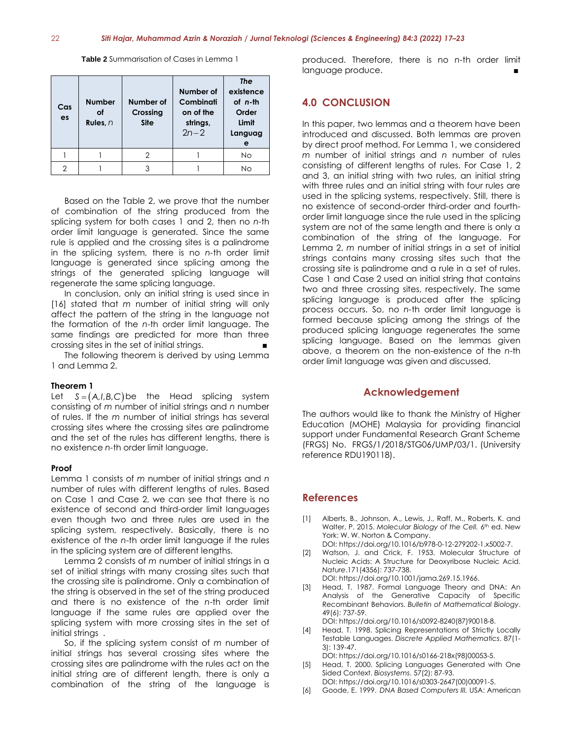**Table 2** Summarisation of Cases in Lemma 1

| Cas<br>es | <b>Number</b><br>οf<br>Rules, $n$ | Number of<br>Crossing<br><b>Site</b> | Number of<br>Combinati<br>on of the<br>strings,<br>$2n - 2$ | <b>The</b><br>existence<br>$of$ $n-th$<br>Order<br>Limit<br>Languag<br>е |
|-----------|-----------------------------------|--------------------------------------|-------------------------------------------------------------|--------------------------------------------------------------------------|
|           |                                   |                                      |                                                             | No                                                                       |
| っ         |                                   | 3                                    |                                                             | <b>No</b>                                                                |

Based on the Table 2, we prove that the number of combination of the string produced from the splicing system for both cases 1 and 2, then no *n-*th order limit language is generated. Since the same rule is applied and the crossing sites is a palindrome in the splicing system, there is no *n-*th order limit language is generated since splicing among the strings of the generated splicing language will regenerate the same splicing language.

In conclusion, only an initial string is used since in [16] stated that *m* number of initial string will only affect the pattern of the string in the language not the formation of the *n*-th order limit language. The same findings are predicted for more than three crossing sites in the set of initial strings.

The following theorem is derived by using Lemma 1 and Lemma 2.

#### **Theorem 1**

Let  $S = (A,I,B,C)$  be the Head splicing system consisting of *m* number of initial strings and *n* number of rules. If the *m* number of initial strings has several crossing sites where the crossing sites are palindrome and the set of the rules has different lengths, there is no existence *n-*th order limit language.

#### **Proof**

Lemma 1 consists of *m* number of initial strings and *n* number of rules with different lengths of rules. Based on Case 1 and Case 2, we can see that there is no existence of second and third-order limit languages even though two and three rules are used in the splicing system, respectively. Basically, there is no existence of the *n*-th order limit language if the rules in the splicing system are of different lengths.

Lemma 2 consists of *m* number of initial strings in a set of initial strings with many crossing sites such that the crossing site is palindrome. Only a combination of the string is observed in the set of the string produced and there is no existence of the *n*-th order limit language if the same rules are applied over the splicing system with more crossing sites in the set of initial strings.

So, if the splicing system consist of *m* number of initial strings has several crossing sites where the crossing sites are palindrome with the rules act on the initial string are of different length, there is only a combination of the string of the language is

produced. Therefore, there is no *n*-th order limit language produce.

# **4.0 CONCLUSION**

In this paper, two lemmas and a theorem have been introduced and discussed. Both lemmas are proven by direct proof method. For Lemma 1, we considered *m* number of initial strings and *n* number of rules consisting of different lengths of rules. For Case 1, 2 and 3, an initial string with two rules, an initial string with three rules and an initial string with four rules are used in the splicing systems, respectively. Still, there is no existence of second-order third-order and fourthorder limit language since the rule used in the splicing system are not of the same length and there is only a combination of the string of the language. For Lemma 2, *m* number of initial strings in a set of initial strings contains many crossing sites such that the crossing site is palindrome and a rule in a set of rules. Case 1 and Case 2 used an initial string that contains two and three crossing sites, respectively. The same splicing language is produced after the splicing process occurs. So, no *n-*th order limit language is formed because splicing among the strings of the produced splicing language regenerates the same splicing language. Based on the lemmas given above, a theorem on the non-existence of the *n*-th order limit language was given and discussed.

# **Acknowledgement**

The authors would like to thank the Ministry of Higher Education (MOHE) Malaysia for providing financial support under Fundamental Research Grant Scheme (FRGS) No. FRGS/1/2018/STG06/UMP/03/1. (University reference RDU190118).

# **References**

- [1] Alberts, B., Johnson, A., Lewis, J., Raff, M., Roberts, K. and Walter, P. 2015. Molecular Biology of the Cell. 6th ed. New York: W. W. Norton & Company. DOI: https://doi.org/10.1016/b978-0-12-279202-1.x5002-7.
- [2] Watson, J. and Crick, F. 1953. Molecular Structure of Nucleic Acids: A Structure for Deoxyribose Nucleic Acid. *Nature*.171(4356): 737-738. DOI: https://doi.org/10.1001/jama.269.15.1966.
- [3] Head, T. 1987. Formal Language Theory and DNA: An Analysis of the Generative Capacity of Specific Recombinant Behaviors. *Bulletin of Mathematical Biology*. 49(6): 737-59.

DOI: https://doi.org/10.1016/s0092-8240(87)90018-8.

[4] Head, T. 1998. Splicing Representations of Strictly Locally Testable Languages. *Discrete Applied Mathematics*. 87(1- 3): 139-47.

DOI: https://doi.org/10.1016/s0166-218x(98)00053-5.

- [5] Head, T. 2000. Splicing Languages Generated with One Sided Context. *Biosystems*. 57(2): 87-93. DOI: https://doi.org/10.1016/s0303-2647(00)00091-5.
- [6] Goode, E. 1999. *DNA Based Computers III.* USA: American